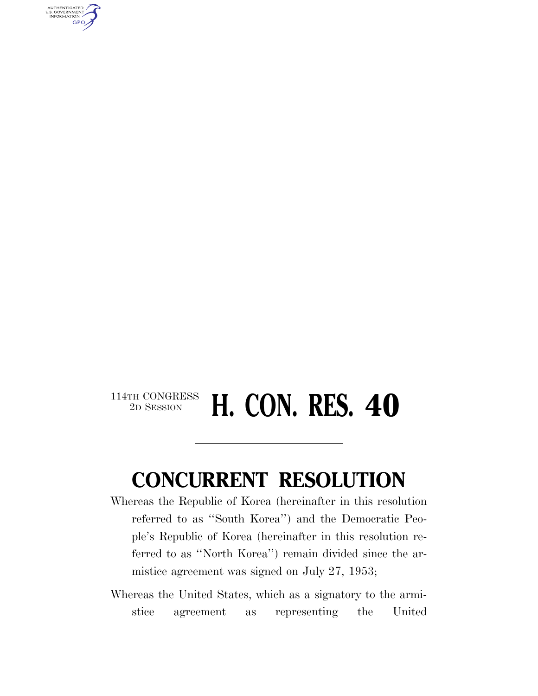AUTHENTICATED<br>U.S. GOVERNMENT<br>INFORMATION GPO

## $\begin{array}{c} \textbf{114TH CONGRESS} \\ \textbf{2D SESION} \end{array}$ **H. CON. RES. 40**

## **CONCURRENT RESOLUTION**

Whereas the Republic of Korea (hereinafter in this resolution referred to as ''South Korea'') and the Democratic People's Republic of Korea (hereinafter in this resolution referred to as ''North Korea'') remain divided since the armistice agreement was signed on July 27, 1953;

Whereas the United States, which as a signatory to the armistice agreement as representing the United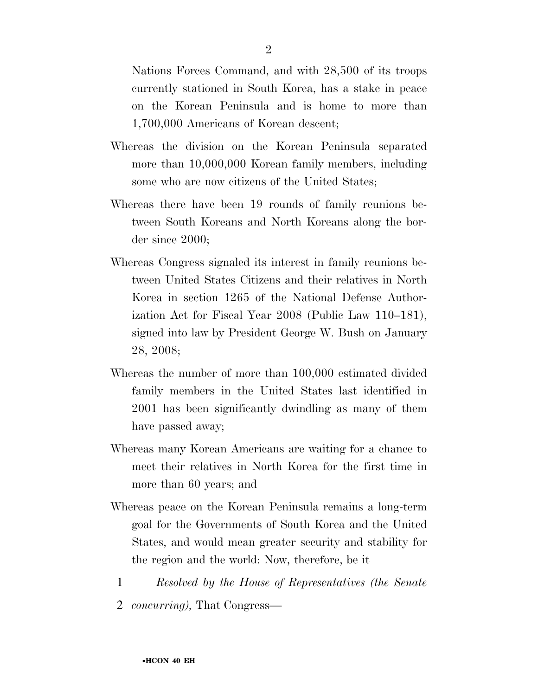Nations Forces Command, and with 28,500 of its troops currently stationed in South Korea, has a stake in peace on the Korean Peninsula and is home to more than 1,700,000 Americans of Korean descent;

- Whereas the division on the Korean Peninsula separated more than 10,000,000 Korean family members, including some who are now citizens of the United States;
- Whereas there have been 19 rounds of family reunions between South Koreans and North Koreans along the border since 2000;
- Whereas Congress signaled its interest in family reunions between United States Citizens and their relatives in North Korea in section 1265 of the National Defense Authorization Act for Fiscal Year 2008 (Public Law 110–181), signed into law by President George W. Bush on January 28, 2008;
- Whereas the number of more than 100,000 estimated divided family members in the United States last identified in 2001 has been significantly dwindling as many of them have passed away;
- Whereas many Korean Americans are waiting for a chance to meet their relatives in North Korea for the first time in more than 60 years; and
- Whereas peace on the Korean Peninsula remains a long-term goal for the Governments of South Korea and the United States, and would mean greater security and stability for the region and the world: Now, therefore, be it
	- 1 *Resolved by the House of Representatives (the Senate*
	- 2 *concurring),* That Congress—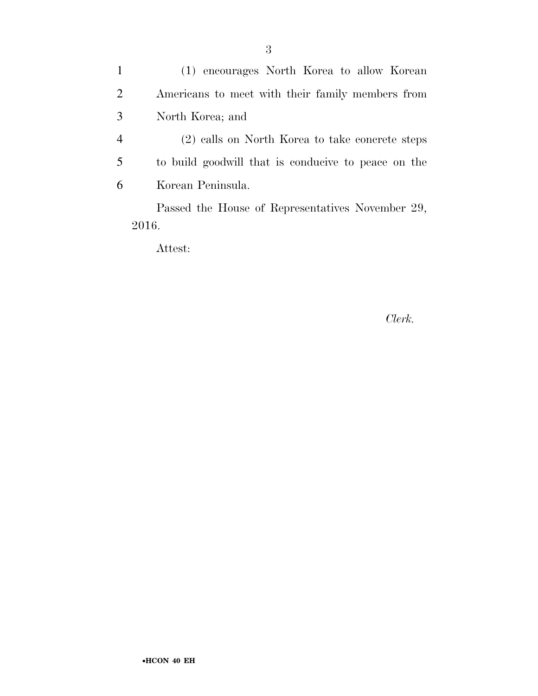1 (1) encourages North Korea to allow Korean 2 Americans to meet with their family members from 3 North Korea; and

4 (2) calls on North Korea to take concrete steps 5 to build goodwill that is conducive to peace on the 6 Korean Peninsula.

Passed the House of Representatives November 29, 2016.

Attest:

*Clerk.*